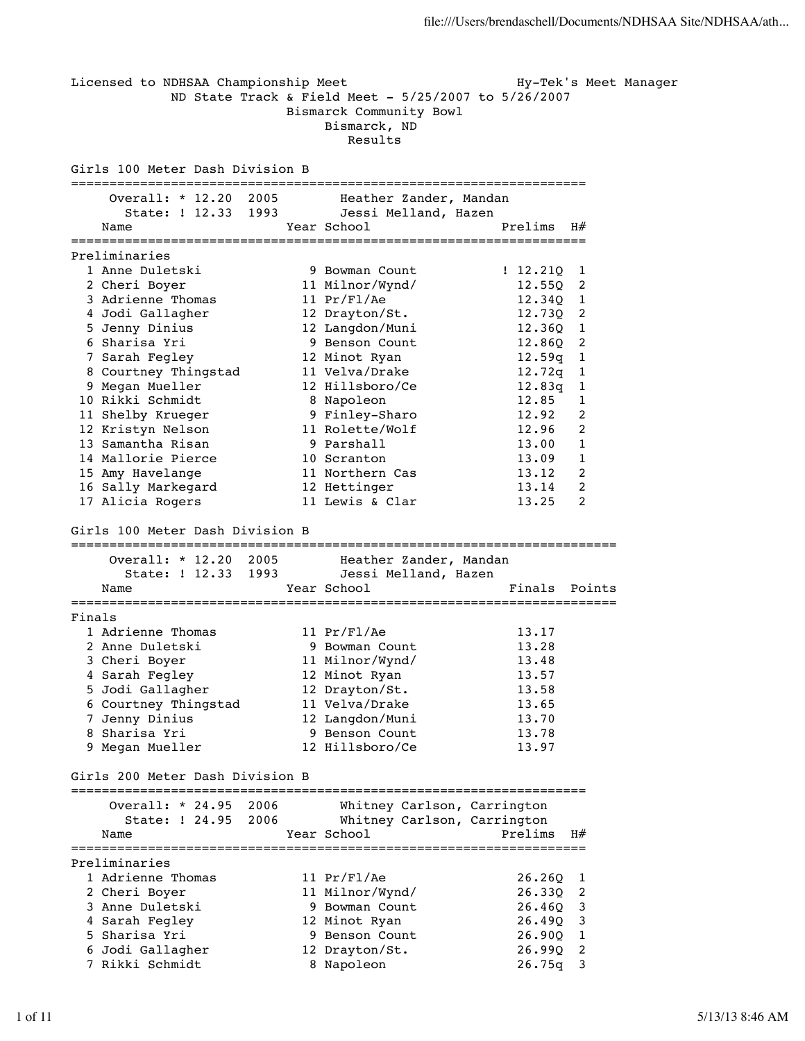Licensed to NDHSAA Championship Meet Hy-Tek's Meet Manager ND State Track & Field Meet - 5/25/2007 to 5/26/2007 Bismarck Community Bowl Bismarck, ND Results Girls 100 Meter Dash Division B =================================================================== Overall: \* 12.20 2005 Heather Zander, Mandan State: ! 12.33 1993 Jessi Melland, Hazen Name Year School Prelims H# =================================================================== Preliminaries 1 Anne Duletski 9 Bowman Count ! 12.210 1 2 Cheri Boyer 11 Milnor/Wynd/ 12.55Q 2 3 Adrienne Thomas 11 Pr/Fl/Ae 12.34Q 1 4 Jodi Gallagher 12 Drayton/St. 12.73Q 2 5 Jenny Dinius 12 Langdon/Muni 12.36Q 1 6 Sharisa Yri 9 Benson Count 12.86Q 2 7 Sarah Fegley 12 Minot Ryan 12.59q 1 8 Courtney Thingstad 11 Velva/Drake 12.72q 1 9 Megan Mueller 12 Hillsboro/Ce 12.83q 1 10 Rikki Schmidt 8 Napoleon 12.85 1 11 Shelby Krueger 9 Finley-Sharo 12.92 2 12 Kristyn Nelson 11 Rolette/Wolf 12.96 2 13 Samantha Risan 13.00 1 14 Mallorie Pierce **10 Scranton** 13.09 1 15 Amy Havelange 11 Northern Cas 13.12 2 16 Sally Markegard 12 Hettinger 13.14 2 17 Alicia Rogers 11 Lewis & Clar 13.25 2 Girls 100 Meter Dash Division B ======================================================================= Overall: \* 12.20 2005 Heather Zander, Mandan State: ! 12.33 1993 Jessi Melland, Hazen Name Year School Finals Points ======================================================================= Finals 1 Adrienne Thomas 11 Pr/Fl/Ae 13.17 2 Anne Duletski 9 Bowman Count 13.28 3 Cheri Boyer 11 Milnor/Wynd/ 13.48 4 Sarah Fegley 12 Minot Ryan 13.57 5 Jodi Gallagher 12 Drayton/St. 13.58 6 Courtney Thingstad 11 Velva/Drake 13.65 7 Jenny Dinius 12 Langdon/Muni 13.70 8 Sharisa Yri 9 Benson Count 13.78 9 Megan Mueller 12 Hillsboro/Ce 13.97 Girls 200 Meter Dash Division B =================================================================== Overall: \* 24.95 2006 Whitney Carlson, Carrington State: ! 24.95 2006 Whitney Carlson, Carrington Name Tear School Prelims H# =================================================================== Preliminaries 1 Adrienne Thomas 11 Pr/Fl/Ae 26.26Q 1 2 Cheri Boyer 11 Milnor/Wynd/ 26.33Q 2 3 Anne Duletski 9 Bowman Count 26.46Q 3 4 Sarah Fegley 12 Minot Ryan 26.49Q 3 5 Sharisa Yri 9 Benson Count 26.90Q 1 6 Jodi Gallagher 12 Drayton/St. 26.99Q 2 7 Rikki Schmidt 8 Napoleon 26.75q 3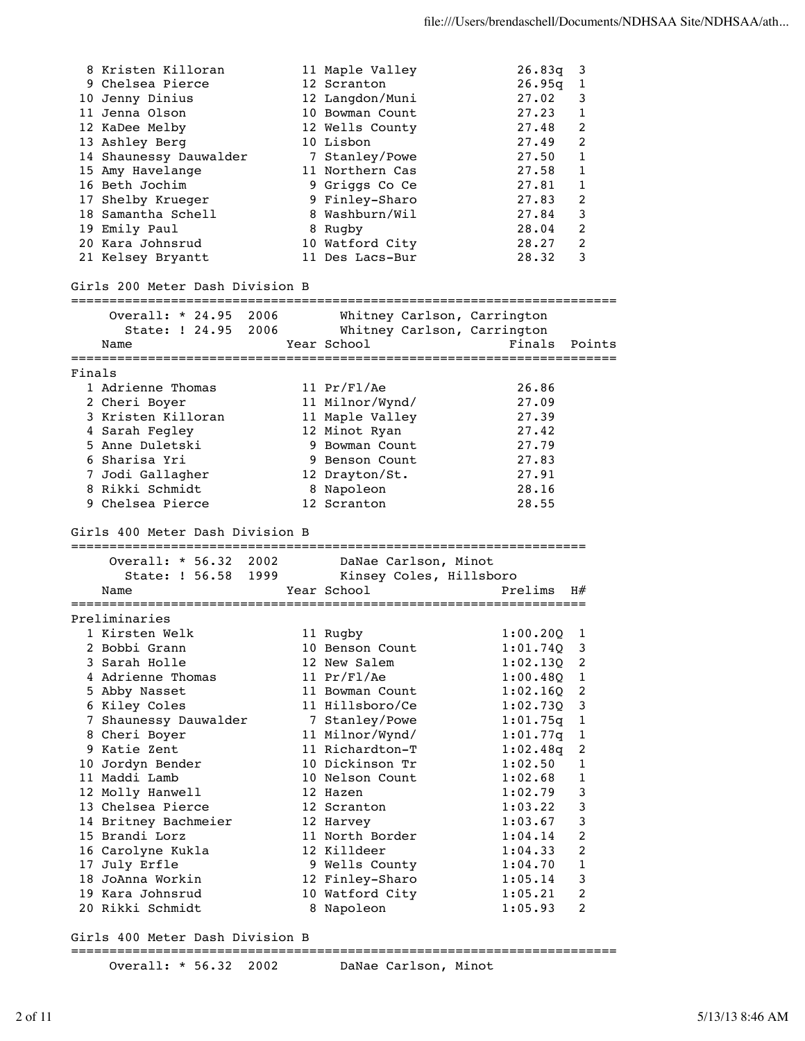|        | 8 Kristen Killoran                      |  | 11 Maple Valley             | 26.83q   | 3              |
|--------|-----------------------------------------|--|-----------------------------|----------|----------------|
|        | 9 Chelsea Pierce                        |  | 12 Scranton                 | 26.95q   | 1              |
|        | 10 Jenny Dinius                         |  | 12 Langdon/Muni             | 27.02    | 3              |
|        | 11 Jenna Olson                          |  | 10 Bowman Count             | 27.23    | 1              |
|        | 12 KaDee Melby                          |  | 12 Wells County             | 27.48    | 2              |
|        | 13 Ashley Berg                          |  | 10 Lisbon                   | 27.49    | $\overline{2}$ |
|        | 14 Shaunessy Dauwalder                  |  | 7 Stanley/Powe              | 27.50    | 1              |
|        | 15 Amy Havelange                        |  | 11 Northern Cas             | 27.58    | 1              |
|        | 16 Beth Jochim                          |  | 9 Griggs Co Ce              | 27.81    | 1              |
|        |                                         |  |                             | 27.83    | 2              |
|        | 17 Shelby Krueger<br>18 Samantha Schell |  | 9 Finley-Sharo              |          |                |
|        |                                         |  | 8 Washburn/Wil              | 27.84    | 3              |
|        | 19 Emily Paul                           |  | 8 Rugby                     | 28.04    | 2              |
|        | 20 Kara Johnsrud                        |  | 10 Watford City             | 28.27    | 2              |
|        | 21 Kelsey Bryantt                       |  | 11 Des Lacs-Bur             | 28.32    | 3              |
|        | Girls 200 Meter Dash Division B         |  |                             |          |                |
|        | Overall: * 24.95 2006                   |  | Whitney Carlson, Carrington |          |                |
|        | State: ! 24.95 2006                     |  | Whitney Carlson, Carrington |          |                |
|        | Name                                    |  | Year School                 | Finals   | Points         |
|        |                                         |  |                             |          |                |
| Finals |                                         |  |                             |          |                |
|        | 1 Adrienne Thomas                       |  | 11 $Pr/F1/Re$               | 26.86    |                |
|        | 2 Cheri Boyer                           |  | 11 Milnor/Wynd/             | 27.09    |                |
|        | 3 Kristen Killoran                      |  | 11 Maple Valley             | 27.39    |                |
|        | 4 Sarah Fegley                          |  | 12 Minot Ryan               | 27.42    |                |
|        | 5 Anne Duletski                         |  | 9 Bowman Count              | 27.79    |                |
|        | 6 Sharisa Yri                           |  | 9 Benson Count              | 27.83    |                |
|        | 7 Jodi Gallagher                        |  | 12 Drayton/St.              | 27.91    |                |
|        | 8 Rikki Schmidt                         |  | 8 Napoleon                  | 28.16    |                |
|        | 9 Chelsea Pierce                        |  | 12 Scranton                 | 28.55    |                |
|        |                                         |  |                             |          |                |
|        | Girls 400 Meter Dash Division B         |  |                             |          |                |
|        | Overall: * 56.32 2002                   |  | DaNae Carlson, Minot        |          |                |
|        | State: ! 56.58 1999                     |  | Kinsey Coles, Hillsboro     |          |                |
|        | Name                                    |  | Year School                 | Prelims  | H#             |
|        |                                         |  |                             |          |                |
|        | Preliminaries                           |  |                             |          |                |
|        | 1 Kirsten Welk                          |  | 11 Rugby                    | 1:00.20Q | 1              |
|        | 2 Bobbi Grann                           |  | 10 Benson Count             | 1:01.74Q | 3              |
|        | 3 Sarah Holle                           |  | 12 New Salem                | 1:02.13Q | 2              |
|        | 4 Adrienne Thomas                       |  | 11 Pr/Fl/Ae                 | 1:00.48Q | 1              |
|        | 5 Abby Nasset                           |  | 11 Bowman Count             | 1:02.16Q | 2              |
|        | 6 Kiley Coles                           |  | 11 Hillsboro/Ce             | 1:02.73Q | 3              |
|        | 7 Shaunessy Dauwalder                   |  | 7 Stanley/Powe              | 1:01.75q | 1              |
|        | 8 Cheri Boyer                           |  | 11 Milnor/Wynd/             |          | 1              |
|        | 9 Katie Zent                            |  | 11 Richardton-T             | 1:01.77q |                |
|        |                                         |  |                             | 1:02.48q | 2              |
|        | 10 Jordyn Bender                        |  | 10 Dickinson Tr             | 1:02.50  | 1              |
|        | 11 Maddi Lamb                           |  | 10 Nelson Count             | 1:02.68  | 1              |
|        | 12 Molly Hanwell                        |  | 12 Hazen                    | 1:02.79  | 3              |
|        | 13 Chelsea Pierce                       |  | 12 Scranton                 | 1:03.22  | 3              |
|        | 14 Britney Bachmeier                    |  | 12 Harvey                   | 1:03.67  | 3              |
|        | 15 Brandi Lorz                          |  | 11 North Border             | 1:04.14  | $\overline{c}$ |
|        | 16 Carolyne Kukla                       |  | 12 Killdeer                 | 1:04.33  | 2              |
|        | 17 July Erfle                           |  | 9 Wells County              | 1:04.70  | $\mathbf{1}$   |
|        | 18 JoAnna Workin                        |  | 12 Finley-Sharo             | 1:05.14  | 3              |
|        | 19 Kara Johnsrud                        |  | 10 Watford City             | 1:05.21  | 2              |
|        | 20 Rikki Schmidt                        |  | 8 Napoleon                  | 1:05.93  | 2              |
|        |                                         |  |                             |          |                |
|        |                                         |  |                             |          |                |

Girls 400 Meter Dash Division B

=======================================================================

Overall: \* 56.32 2002 DaNae Carlson, Minot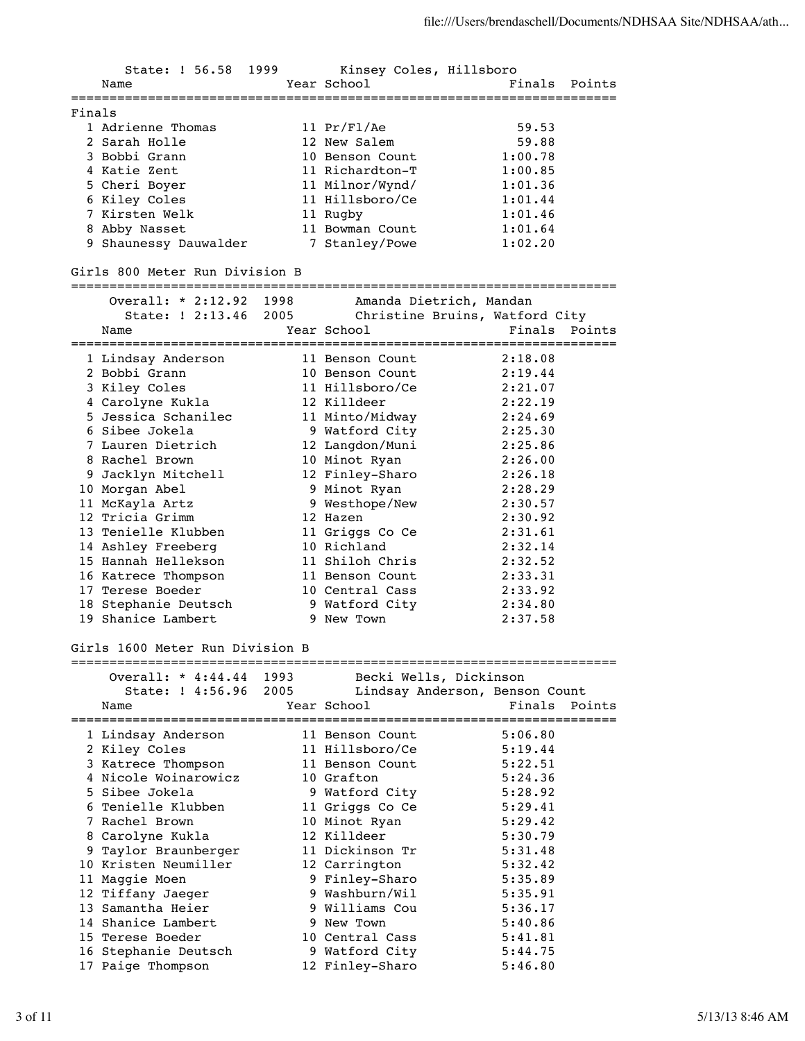State: ! 56.58 1999 Kinsey Coles, Hillsboro Name **Year School** Pinals Points ======================================================================= Finals 1 Adrienne Thomas 11 Pr/Fl/Ae 59.53 2 Sarah Holle 12 New Salem 59.88 3 Bobbi Grann 10 Benson Count 1:00.78 4 Katie Zent 11 Richardton-T 1:00.85 5 Cheri Boyer 11 Milnor/Wynd/ 1:01.36 6 Kiley Coles 11 Hillsboro/Ce 1:01.44 7 Kirsten Welk 11 Rugby 1:01.46 8 Abby Nasset 11 Bowman Count 1:01.64 9 Shaunessy Dauwalder 7 Stanley/Powe 1:02.20 Girls 800 Meter Run Division B ======================================================================= Overall: \* 2:12.92 1998 Amanda Dietrich, Mandan State: ! 2:13.46 2005 Christine Bruins, Watford City Name **Year School** Points Points Points Points Points Points Points Points Points Points Points Points Points Points Points Points Points Points Points Points Points Points Points Points Points Points Points Points Points ======================================================================= 1 Lindsay Anderson 11 Benson Count 2:18.08 2 Bobbi Grann 10 Benson Count 2:19.44 3 Kiley Coles 11 Hillsboro/Ce 2:21.07 4 Carolyne Kukla 12 Killdeer 2:22.19 5 Jessica Schanilec 11 Minto/Midway 2:24.69 6 Sibee Jokela 9 Watford City 2:25.30 7 Lauren Dietrich 12 Langdon/Muni 2:25.86 8 Rachel Brown 10 Minot Ryan 2:26.00 9 Jacklyn Mitchell 12 Finley-Sharo 2:26.18 10 Morgan Abel 9 Minot Ryan 2:28.29 11 McKayla Artz 9 Westhope/New 2:30.57 12 Tricia Grimm 12 Hazen 2:30.92 13 Tenielle Klubben 11 Griggs Co Ce 2:31.61 14 Ashley Freeberg 10 Richland 2:32.14 15 Hannah Hellekson 11 Shiloh Chris 2:32.52 16 Katrece Thompson 11 Benson Count 2:33.31 17 Terese Boeder 10 Central Cass 2:33.92 18 Stephanie Deutsch 9 Watford City 2:34.80 19 Shanice Lambert 9 New Town 2:37.58 Girls 1600 Meter Run Division B ======================================================================= Overall: \* 4:44.44 1993 Becki Wells, Dickinson State: ! 4:56.96 2005 Lindsay Anderson, Benson Count Name Year School Finals Points ======================================================================= 1 Lindsay Anderson 11 Benson Count 5:06.80 2 Kiley Coles 11 Hillsboro/Ce 5:19.44 3 Katrece Thompson 11 Benson Count 5:22.51 4 Nicole Woinarowicz 10 Grafton 5:24.36 5 Sibee Jokela 9 Watford City 5:28.92 6 Tenielle Klubben 11 Griggs Co Ce 5:29.41 7 Rachel Brown 10 Minot Ryan 5:29.42 8 Carolyne Kukla 12 Killdeer 5:30.79 9 Taylor Braunberger 11 Dickinson Tr 5:31.48 10 Kristen Neumiller 12 Carrington 5:32.42 11 Maggie Moen 9 Finley-Sharo 5:35.89 12 Tiffany Jaeger 9 Washburn/Wil 5:35.91 13 Samantha Heier 9 Williams Cou 5:36.17 14 Shanice Lambert 9 New Town 5:40.86 15 Terese Boeder 10 Central Cass 5:41.81 16 Stephanie Deutsch 9 Watford City 5:44.75 17 Paige Thompson 12 Finley-Sharo 5:46.80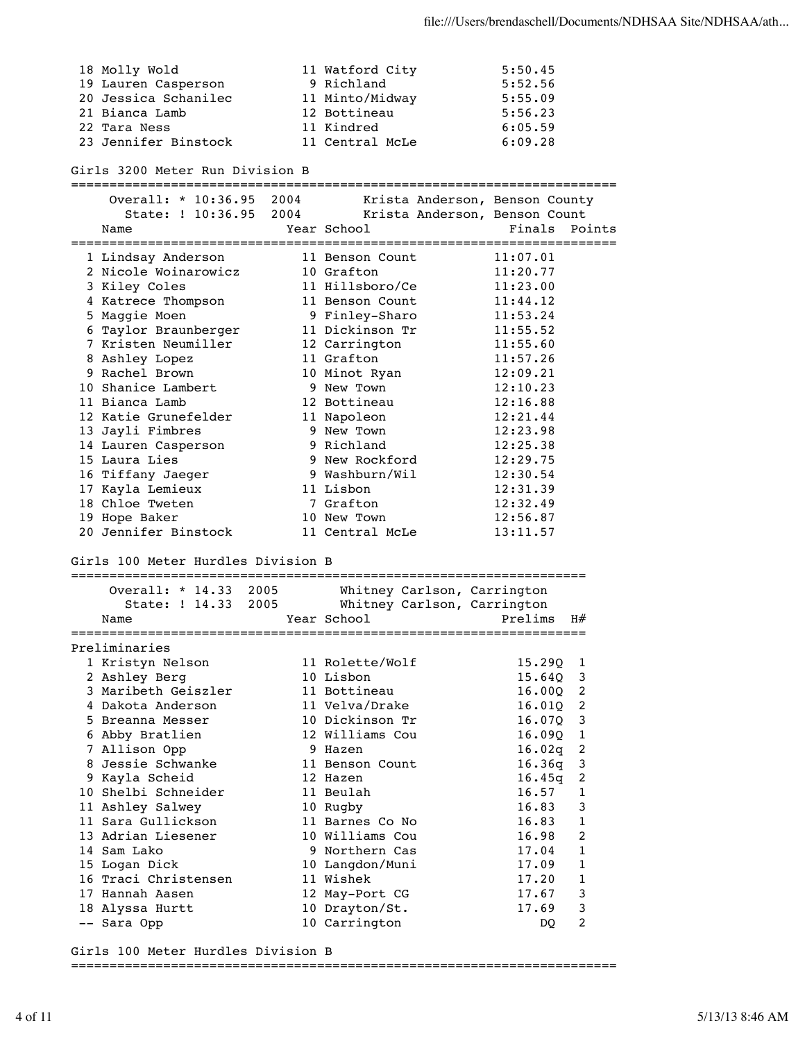18 Molly Wold 11 Watford City 5:50.45 19 Lauren Casperson 9 Richland 5:52.56 20 Jessica Schanilec 11 Minto/Midway 5:55.09 21 Bianca Lamb 12 Bottineau 5:56.23 22 Tara Ness 11 Kindred 6:05.59 23 Jennifer Binstock 11 Central McLe 6:09.28 Girls 3200 Meter Run Division B ======================================================================= Overall: \* 10:36.95 2004 Krista Anderson, Benson County State: ! 10:36.95 2004 Krista Anderson, Benson Count Name **Year School** Points Points Points Points Points Points Points Points Points Points Points Points Points Points Points Points Points Points Points Points Points Points Points Points Points Points Points Points Points ======================================================================= 1 Lindsay Anderson 11 Benson Count 11:07.01 2 Nicole Woinarowicz 10 Grafton 11:20.77 3 Kiley Coles 11 Hillsboro/Ce 11:23.00 4 Katrece Thompson 11 Benson Count 11:44.12 5 Maggie Moen 9 Finley-Sharo 11:53.24 6 Taylor Braunberger 11 Dickinson Tr 11:55.52 7 Kristen Neumiller 12 Carrington 11:55.60 8 Ashley Lopez 11 Grafton 11:57.26 9 Rachel Brown 10 Minot Ryan 12:09.21 10 Shanice Lambert 9 New Town 12:10.23 11 Bianca Lamb 12 Bottineau 12:16.88 12 Katie Grunefelder 11 Napoleon 12:21.44 13 Jayli Fimbres 9 New Town 12:23.98 14 Lauren Casperson 9 Richland 12:25.38 15 Laura Lies 9 New Rockford 12:29.75 16 Tiffany Jaeger 9 Washburn/Wil 12:30.54 17 Kayla Lemieux 11 Lisbon 12:31.39 18 Chloe Tweten 7 Grafton 12:32.49 19 Hope Baker 10 New Town 12:56.87 20 Jennifer Binstock 11 Central McLe 13:11.57 Girls 100 Meter Hurdles Division B =================================================================== Overall: \* 14.33 2005 Whitney Carlson, Carrington State: ! 14.33 2005 Whitney Carlson, Carrington Name Year School Prelims H# =================================================================== Preliminaries 1 Kristyn Nelson 11 Rolette/Wolf 15.29Q 1 2 Ashley Berg 10 Lisbon 15.64Q 3 3 Maribeth Geiszler 11 Bottineau 16.00Q 2 4 Dakota Anderson 11 Velva/Drake 16.01Q 2 5 Breanna Messer 10 Dickinson Tr 16.07Q 3 6 Abby Bratlien 12 Williams Cou 16.09Q 1 7 Allison Opp 9 Hazen 16.02q 2 8 Jessie Schwanke 11 Benson Count 16.36q 3 9 Kayla Scheid 12 Hazen 16.45q 2 10 Shelbi Schneider 11 Beulah 16.57 1 11 Ashley Salwey 10 Rugby 16.83 3 11 Sara Gullickson 11 Barnes Co No 16.83 1 13 Adrian Liesener 10 Williams Cou 16.98 2 14 Sam Lako 9 Northern Cas 17.04 1 15 Logan Dick 10 Langdon/Muni 17.09 1 16 Traci Christensen 11 Wishek 17.20 1 17 Hannah Aasen 12 May-Port CG 17.67 3 18 Alyssa Hurtt 10 Drayton/St. 17.69 3 -- Sara Opp 10 Carrington 2 DQ 2

Girls 100 Meter Hurdles Division B

=======================================================================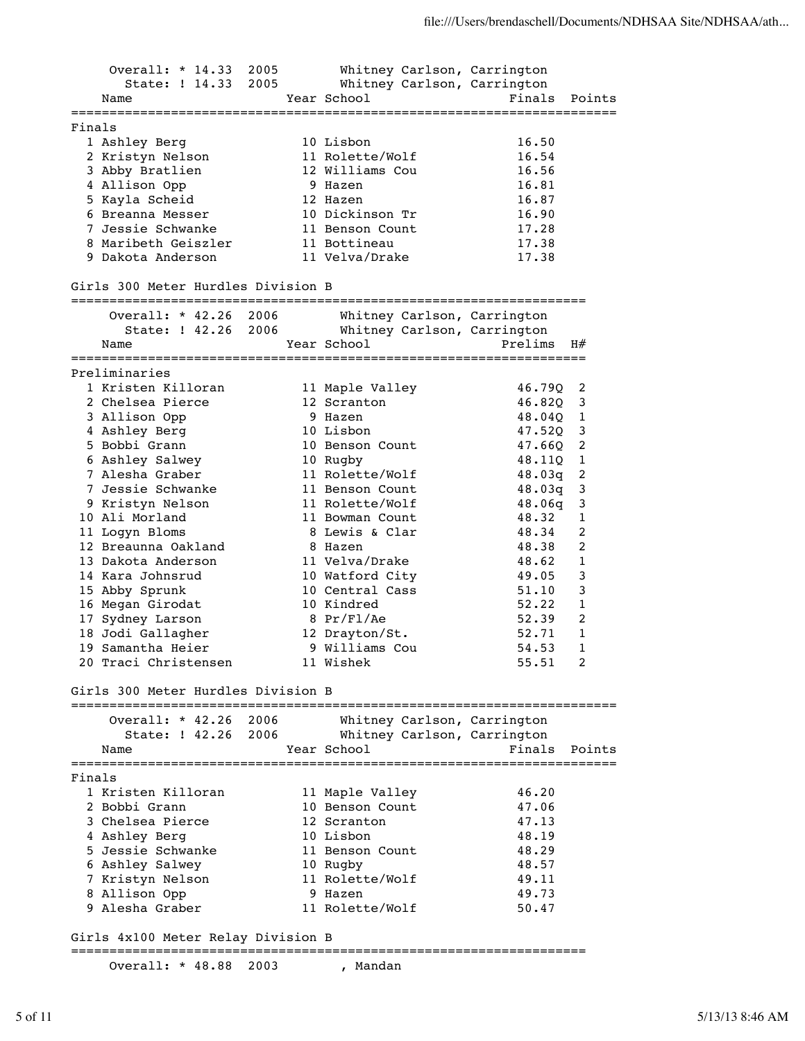Overall: \* 14.33 2005 Whitney Carlson, Carrington State: ! 14.33 2005 Whitney Carlson, Carrington Name The Year School Team Points Points Points ======================================================================= Finals 1 Ashley Berg 10 Lisbon 16.50 2 Kristyn Nelson 11 Rolette/Wolf 16.54 3 Abby Bratlien 12 Williams Cou 16.56 4 Allison Opp 9 Hazen 16.81 5 Kayla Scheid 12 Hazen 16.87 6 Breanna Messer 10 Dickinson Tr 16.90 7 Jessie Schwanke 11 Benson Count 17.28 8 Maribeth Geiszler 11 Bottineau 17.38 9 Dakota Anderson 11 Velva/Drake 17.38 Girls 300 Meter Hurdles Division B =================================================================== Overall: \* 42.26 2006 Whitney Carlson, Carrington State: ! 42.26 2006 Whitney Carlson, Carrington Name Year School Prelims H# =================================================================== Preliminaries 1 Kristen Killoran 11 Maple Valley 46.79Q 2 2 Chelsea Pierce 12 Scranton 46.82Q 3 3 Allison Opp 9 Hazen 48.04Q 1 4 Ashley Berg 10 Lisbon 47.52Q 3 5 Bobbi Grann 10 Benson Count 47.66Q 2 6 Ashley Salwey 10 Rugby 48.11Q 1 7 Alesha Graber 11 Rolette/Wolf 48.03q 2 7 Jessie Schwanke 11 Benson Count 48.03q 3 9 Kristyn Nelson 11 Rolette/Wolf 48.06q 3 10 Ali Morland 11 Bowman Count 48.32 1 11 Logyn Bloms 8 Lewis & Clar 48.34 2 12 Breaunna Oakland 8 Hazen 48.38 2 13 Dakota Anderson 11 Velva/Drake 48.62 1 14 Kara Johnsrud 10 Watford City 49.05 3 15 Abby Sprunk 10 Central Cass 51.10 3 16 Megan Girodat 10 Kindred 52.22 1 17 Sydney Larson 8 Pr/Fl/Ae 52.39 2 18 Jodi Gallagher 12 Drayton/St. 52.71 1 19 Samantha Heier 9 Williams Cou 54.53 1 20 Traci Christensen 11 Wishek 55.51 2 Girls 300 Meter Hurdles Division B ======================================================================= Overall: \* 42.26 2006 Whitney Carlson, Carrington State: ! 42.26 2006 Whitney Carlson, Carrington Name The Year School Team Points Points ======================================================================= Finals 1 Kristen Killoran 11 Maple Valley 46.20 2 Bobbi Grann 10 Benson Count 47.06 3 Chelsea Pierce 12 Scranton 47.13 4 Ashley Berg 10 Lisbon 48.19 5 Jessie Schwanke 11 Benson Count 48.29 6 Ashley Salwey 10 Rugby 48.57 7 Kristyn Nelson 11 Rolette/Wolf 49.11 8 Allison Opp 9 Hazen 49.73 9 Alesha Graber 11 Rolette/Wolf 50.47 Girls 4x100 Meter Relay Division B ===================================================================

Overall: \* 48.88 2003 , Mandan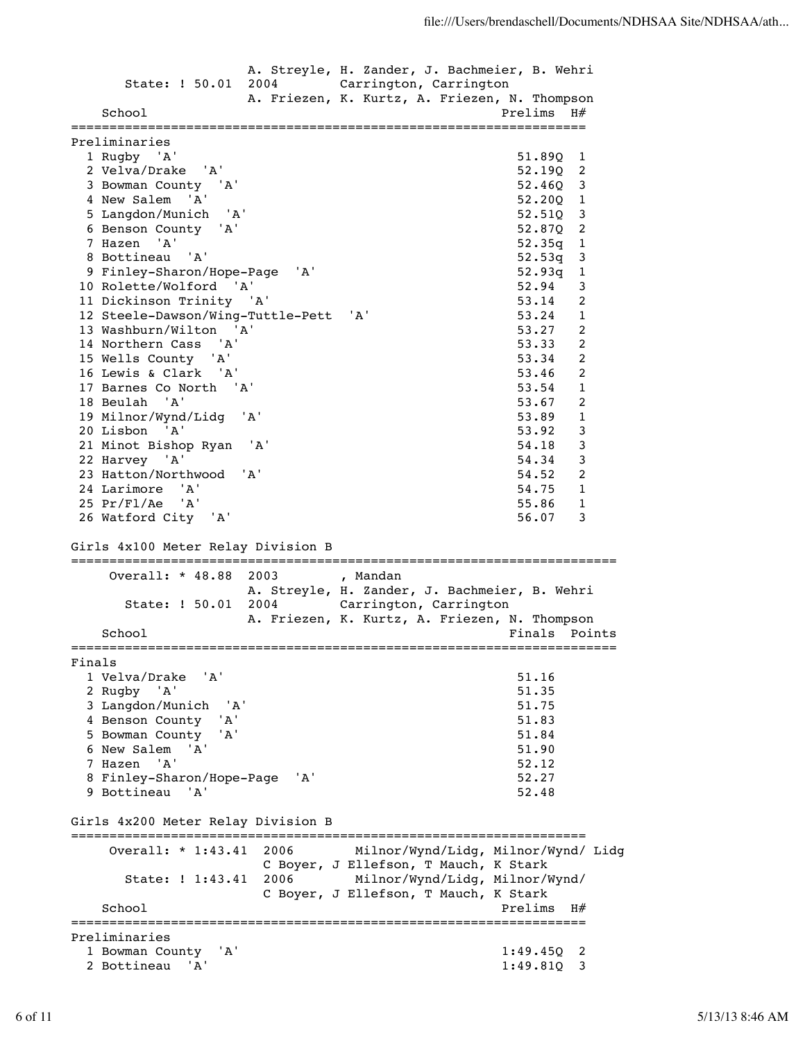A. Streyle, H. Zander, J. Bachmeier, B. Wehri State: ! 50.01 2004 Carrington, Carrington A. Friezen, K. Kurtz, A. Friezen, N. Thompson School **Prelims** H# =================================================================== Preliminaries 1 Rugby 'A' 51.89Q 1 2 Velva/Drake 'A' 52.19Q 2 3 Bowman County 'A' 52.46Q 3 4 New Salem 'A' 5 Langdon/Munich 'A' 52.51Q 3 6 Benson County 'A' 52.87Q 2 7 Hazen 'A' 52.35q 1 8 Bottineau 'A' 52.53q 3 9 Finley-Sharon/Hope-Page 'A' 52.93q 1 10 Rolette/Wolford 'A' 52.94 3 11 Dickinson Trinity 'A' 53.14 2 12 Steele-Dawson/Wing-Tuttle-Pett 'A' 53.24 1 13 Washburn/Wilton 'A' 53.27 2 14 Northern Cass 'A' 53.33 2 15 Wells County 'A' 53.34 2 16 Lewis & Clark 'A' 53.46 2 17 Barnes Co North 'A' 53.54 1 18 Beulah 'A' 53.67 2 19 Milnor/Wynd/Lidg 'A' 53.89 1 20 Lisbon 'A' 53.92 3 21 Minot Bishop Ryan 'A' 54.18 3 22 Harvey 'A' 54.34 3 23 Hatton/Northwood 'A' 54.52 2 24 Larimore 'A' 54.75 1 25 Pr/Fl/Ae 'A' 55.86 1 26 Watford City 'A' 56.07 3 Girls 4x100 Meter Relay Division B ======================================================================= Overall: \* 48.88 2003 , Mandan A. Streyle, H. Zander, J. Bachmeier, B. Wehri State: ! 50.01 2004 Carrington, Carrington A. Friezen, K. Kurtz, A. Friezen, N. Thompson School **Finals** Points **Points** ======================================================================= Finals 1 Velva/Drake 'A' 51.16 2 Rugby 'A' 51.35 3 Langdon/Munich 'A' 51.75 4 Benson County 'A' 51.83 5 Bowman County 'A' 51.84 6 New Salem 'A' 51.90 7 Hazen 'A' 52.12 8 Finley-Sharon/Hope-Page 'A' 52.27 9 Bottineau 'A' 52.48 Girls 4x200 Meter Relay Division B =================================================================== Overall: \* 1:43.41 2006 Milnor/Wynd/Lidg, Milnor/Wynd/ Lidg C Boyer, J Ellefson, T Mauch, K Stark State: ! 1:43.41 2006 Milnor/Wynd/Lidg, Milnor/Wynd/ C Boyer, J Ellefson, T Mauch, K Stark School Prelims H $#$ =================================================================== Preliminaries 1 Bowman County 'A' 1:49.45Q 2 2 Bottineau 'A' 1:49.81Q 3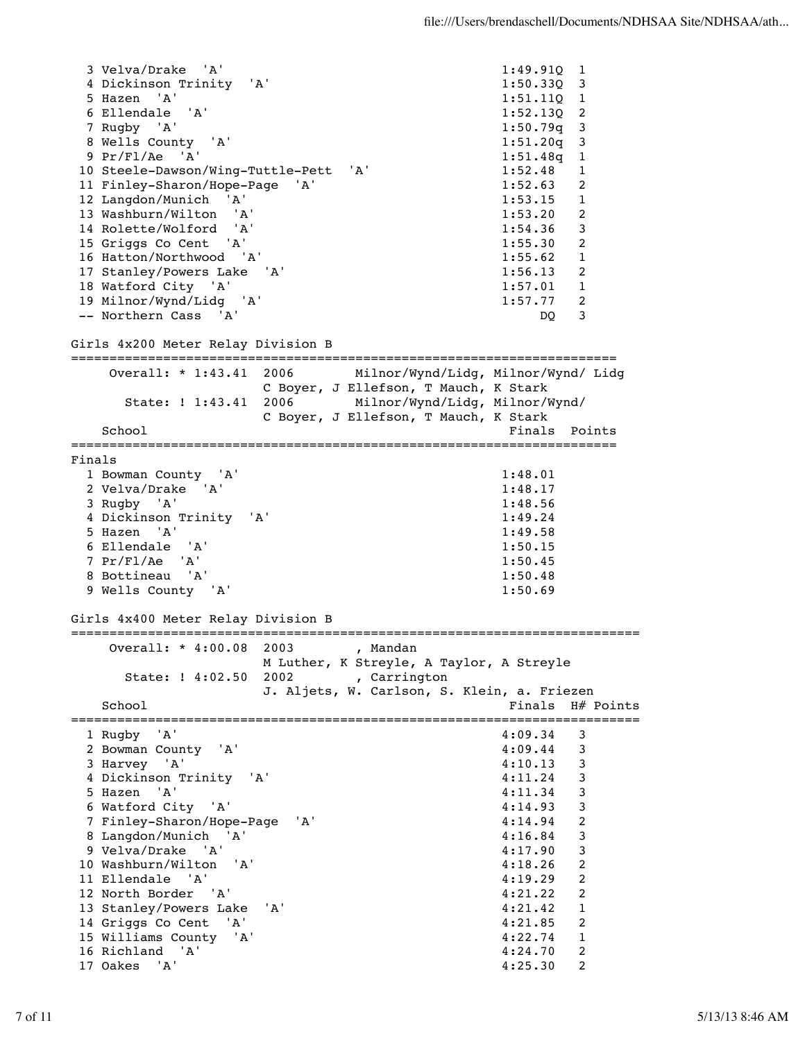```
 3 Velva/Drake 'A' 1:49.91Q 1 
  4 Dickinson Trinity 'A' 1:50.33Q 3 
  5 Hazen 'A' 1:51.11Q 1 
 6 Ellendale 'A'
  7 Rugby 'A' 1:50.79q 3 
  8 Wells County 'A' 1:51.20q 3 
 9 Pr/Fl/Ae 'A' 1:51.48q 1 
 10 Steele-Dawson/Wing-Tuttle-Pett 'A' 1:52.48 1 
 11 Finley-Sharon/Hope-Page 'A' 1:52.63 2 
 12 Langdon/Munich 'A' 1:53.15 1 
 13 Washburn/Wilton 'A' 1:53.20 2 
 14 Rolette/Wolford 'A' 1:54.36 3 
 15 Griggs Co Cent 'A' 1:55.30 2 
 16 Hatton/Northwood 'A' 1:55.62 1 
 17 Stanley/Powers Lake 'A' 1:56.13 2 
 18 Watford City 'A' 1:57.01 1 
 19 Milnor/Wynd/Lidg 'A' 1:57.77 2 
 -- Northern Cass 'A' DQ 3 
Girls 4x200 Meter Relay Division B
=======================================================================
   Overall: * 1:43.41 2006 Milnor/Wynd/Lidg, Milnor/Wynd/ Lidg 
               C Boyer, J Ellefson, T Mauch, K Stark 
     State: ! 1:43.41 2006 Milnor/Wynd/Lidg, Milnor/Wynd/ 
              C Boyer, J Ellefson, T Mauch, K Stark 
  School Finals Points
=======================================================================
Finals
  1 Bowman County 'A' 1:48.01 
  2 Velva/Drake 'A' 1:48.17 
  3 Rugby 'A' 1:48.56 
  4 Dickinson Trinity 'A' 1:49.24 
  5 Hazen 'A' 1:49.58 
  6 Ellendale 'A' 1:50.15 
  7 Pr/Fl/Ae 'A' 1:50.45 
  8 Bottineau 'A' 1:50.48 
  9 Wells County 'A' 1:50.69 
Girls 4x400 Meter Relay Division B
==========================================================================
   Overall: * 4:00.08 2003 , Mandan 
              M Luther, K Streyle, A Taylor, A Streyle 
     State: ! 4:02.50 2002 , Carrington 
              J. Aljets, W. Carlson, S. Klein, a. Friezen 
 School Finals H# Points
==========================================================================
  1 Rugby 'A' 4:09.34 3 
  2 Bowman County 'A' 4:09.44 3 
  3 Harvey 'A' 4:10.13 3 
  4 Dickinson Trinity 'A' 4:11.24 3 
  5 Hazen 'A' 4:11.34 3 
  6 Watford City 'A' 4:14.93 3 
  7 Finley-Sharon/Hope-Page 'A' 4:14.94 2 
  8 Langdon/Munich 'A' 4:16.84 3 
 9 Velva/Drake 'A' 4:17.90 3 
 10 Washburn/Wilton 'A' 4:18.26 2 
 11 Ellendale 'A' 4:19.29 2 
 12 North Border 'A' 4:21.22 2 
 13 Stanley/Powers Lake 'A' 4:21.42 1 
 14 Griggs Co Cent 'A' 4:21.85 2 
 15 Williams County 'A' 4:22.74 1 
 16 Richland 'A' 4:24.70 2 
 17 Oakes 'A' 4:25.30 2
```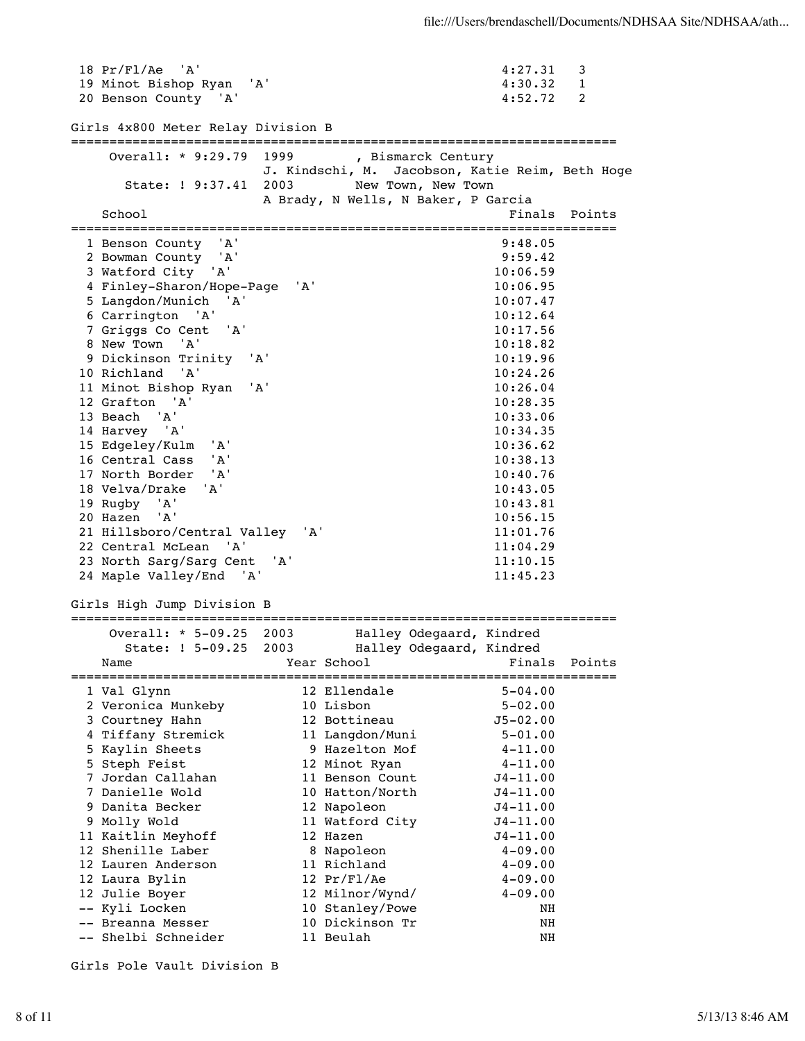18 Pr/Fl/Ae 'A' 4:27.31 3 19 Minot Bishop Ryan 'A' 4:30.32 1 20 Benson County 'A' 4:52.72 2 Girls 4x800 Meter Relay Division B ======================================================================= ---------<br>Overall: \* 9:29.79 1999 , Bismarck Century J. Kindschi, M. Jacobson, Katie Reim, Beth Hoge State: ! 9:37.41 2003 New Town, New Town A Brady, N Wells, N Baker, P Garcia School **Finals** Points ======================================================================= 1 Benson County 'A' 9:48.05 2 Bowman County 'A' 9:59.42 3 Watford City 'A' 10:06.59<br>4 Finley-Sharon/Hope-Page 'A' 10:06.95 4 Finley-Sharon/Hope-Page 'A' 5 Langdon/Munich 'A' 10:07.47 6 Carrington 'A' 10:12.64 7 Griggs Co Cent 'A' 10:17.56 8 New Town 'A' 10:18.82 9 Dickinson Trinity 'A' 10:19.96 10 Richland 'A' 11 Minot Bishop Ryan 'A' 10:26.04 12 Grafton 'A' 10:28.35 13 Beach 'A' 10:33.06 14 Harvey 'A' 10:34.35 15 Edgeley/Kulm 'A' 10:36.62 16 Central Cass 'A' 10:38.13 17 North Border 'A' 10:40.76 18 Velva/Drake 'A' 10:43.05 19 Rugby 'A' 10:43.81 20 Hazen 'A' 10:56.15<br>21 Hillsboro/Central Valley 'A' 11:01.76 21 Hillsboro/Central Valley 'A' 11:01.76 22 Central McLean 'A' 23 North Sarg/Sarg Cent 'A' 11:10.15 24 Maple Valley/End 'A' 11:45.23 Girls High Jump Division B ======================================================================= Overall: \* 5-09.25 2003 Halley Odegaard, Kindred State: ! 5-09.25 2003 Halley Odegaard, Kindred Name **Year School** Points Points Points Points Points Points Points Points Points Points Points Points Points Points Points Points Points Points Points Points Points Points Points Points Points Points Points Points Points ======================================================================= 1 Val Glynn 12 Ellendale 5-04.00 2 Veronica Munkeby 10 Lisbon 5-02.00 3 Courtney Hahn 12 Bottineau J5-02.00 4 Tiffany Stremick 11 Langdon/Muni 5-01.00 5 Kaylin Sheets 9 Hazelton Mof 4-11.00 5 Steph Feist 12 Minot Ryan 4-11.00 7 Jordan Callahan 11 Benson Count J4-11.00 7 Danielle Wold 10 Hatton/North J4-11.00 9 Danita Becker 12 Napoleon J4-11.00 9 Molly Wold 11 Watford City J4-11.00 11 Kaitlin Meyhoff 12 Hazen J4-11.00 12 Shenille Laber 8 Napoleon 4-09.00 12 Lauren Anderson 11 Richland 4-09.00 12 Laura Bylin 12 Pr/Fl/Ae 4-09.00 12 Julie Boyer 12 Milnor/Wynd/ 4-09.00 -- Kyli Locken 10 Stanley/Powe NH -- Breanna Messer 10 Dickinson Tr NH -- Shelbi Schneider 11 Beulah NH

Girls Pole Vault Division B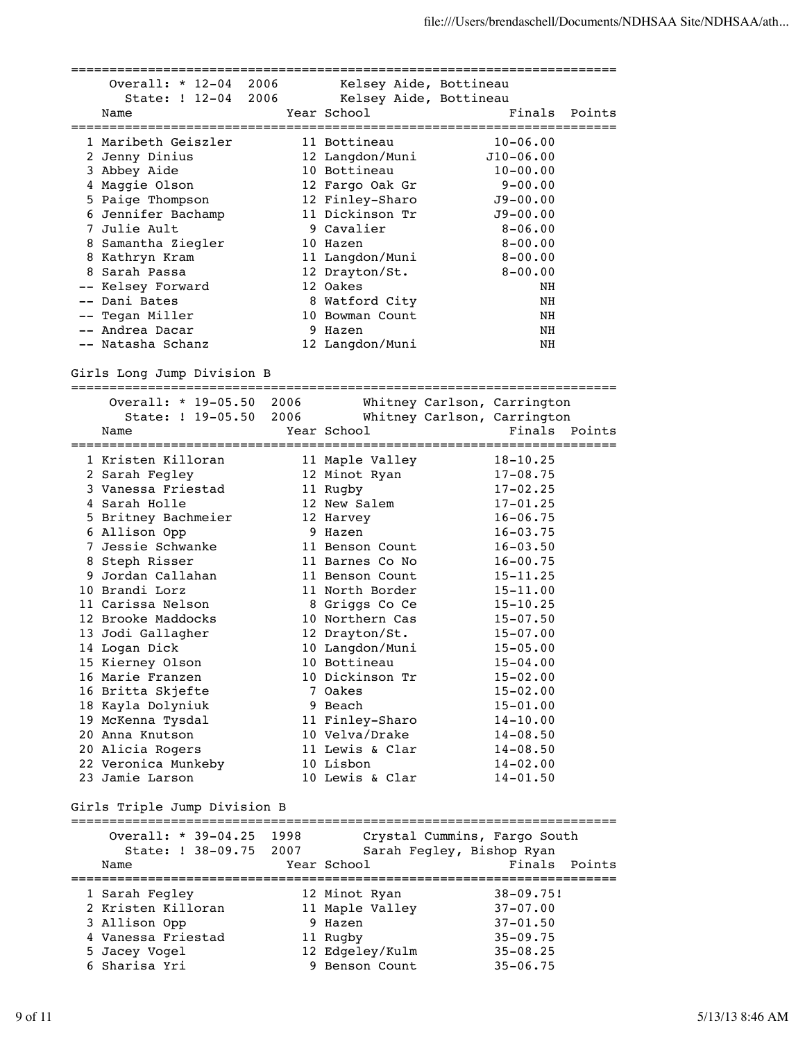======================================================================= Overall: \* 12-04 2006 Kelsey Aide, Bottineau State: ! 12-04 2006 Kelsey Aide, Bottineau Name Year School Finals Points ======================================================================= 1 Maribeth Geiszler 11 Bottineau 10-06.00 2 Jenny Dinius 12 Langdon/Muni J10-06.00 3 Abbey Aide 10 Bottineau 10-00.00 4 Maggie Olson 12 Fargo Oak Gr 9-00.00 5 Paige Thompson 12 Finley-Sharo J9-00.00 6 Jennifer Bachamp 11 Dickinson Tr J9-00.00 7 Julie Ault 9 Cavalier 8-06.00 8 Samantha Ziegler 10 Hazen 8-00.00 8 Kathryn Kram 11 Langdon/Muni 8-00.00 8 Sarah Passa 12 Drayton/St. 8-00.00 -- Kelsey Forward 12 Oakes NH -- Dani Bates 8 Watford City NH -- Tegan Miller 10 Bowman Count NH -- Andrea Dacar 9 Hazen NH -- Natasha Schanz 12 Langdon/Muni NH Girls Long Jump Division B ======================================================================= Overall: \* 19-05.50 2006 Whitney Carlson, Carrington State: ! 19-05.50 2006 Whitney Carlson, Carrington Name Year School Finals Points ======================================================================= 1 Kristen Killoran 11 Maple Valley 18-10.25 2 Sarah Fegley 12 Minot Ryan 17-08.75 3 Vanessa Friestad 11 Rugby 17-02.25 4 Sarah Holle 12 New Salem 17-01.25 5 Britney Bachmeier 12 Harvey 16-06.75 6 Allison Opp 9 Hazen 16-03.75 7 Jessie Schwanke 11 Benson Count 16-03.50 8 Steph Risser 11 Barnes Co No 16-00.75 9 Jordan Callahan 11 Benson Count 15-11.25 10 Brandi Lorz 11 North Border 15-11.00 11 Carissa Nelson 8 Griggs Co Ce 15-10.25 12 Brooke Maddocks 10 Northern Cas 15-07.50 13 Jodi Gallagher 12 Drayton/St. 15-07.00 14 Logan Dick 10 Langdon/Muni 15-05.00 15 Kierney Olson 10 Bottineau 15-04.00 16 Marie Franzen 10 Dickinson Tr 15-02.00 16 Britta Skjefte 7 Oakes 15-02.00 18 Kayla Dolyniuk 9 Beach 15-01.00 19 McKenna Tysdal 11 Finley-Sharo 14-10.00 20 Anna Knutson 10 Velva/Drake 14-08.50 20 Alicia Rogers 11 Lewis & Clar 14-08.50 22 Veronica Munkeby 10 Lisbon 14-02.00 23 Jamie Larson 10 Lewis & Clar 14-01.50 Girls Triple Jump Division B ======================================================================= Overall: \* 39-04.25 1998 Crystal Cummins, Fargo South State: ! 38-09.75 2007 Sarah Fegley, Bishop Ryan Name Tear School Tear School Finals Points ======================================================================= 1 Sarah Fegley 12 Minot Ryan 38-09.75! 2 Kristen Killoran 11 Maple Valley 37-07.00 3 Allison Opp 9 Hazen 37-01.50 4 Vanessa Friestad 11 Rugby 35-09.75 5 Jacey Vogel 12 Edgeley/Kulm 35-08.25 6 Sharisa Yri 9 Benson Count 35-06.75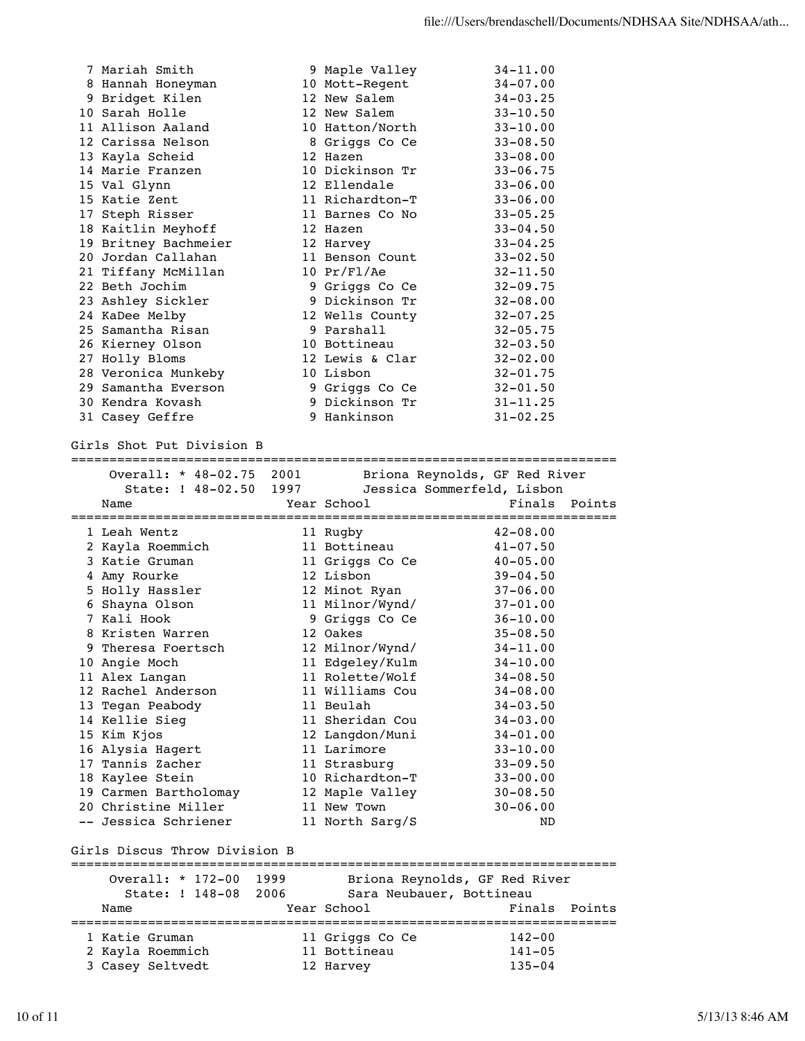| 7 Mariah Smith       | 9 Maple Valley           | $34 - 11.00$ |
|----------------------|--------------------------|--------------|
| 8 Hannah Honeyman    | 10 Mott-Regent           | $34 - 07.00$ |
| 9 Bridget Kilen      | 12 New Salem             | $34 - 03.25$ |
| 10 Sarah Holle       | 12 New Salem             | $33 - 10.50$ |
| 11 Allison Aaland    | 10 Hatton/North          | $33 - 10.00$ |
| 12 Carissa Nelson    | 8 Griggs Co Ce           | $33 - 08.50$ |
| 13 Kayla Scheid      | 12 Hazen                 | $33 - 08.00$ |
| 14 Marie Franzen     | 10 Dickinson Tr          | $33 - 06.75$ |
| 15 Val Glynn         | 12 Ellendale             | $33 - 06.00$ |
| 15 Katie Zent        | 11 Richardton-T          | $33 - 06.00$ |
| 17 Steph Risser      | 11 Barnes Co No          | $33 - 05.25$ |
| 18 Kaitlin Meyhoff   | 12 Hazen                 | $33 - 04.50$ |
| 19 Britney Bachmeier | 12 Harvey                | $33 - 04.25$ |
| 20 Jordan Callahan   | 11 Benson Count          | $33 - 02.50$ |
| 21 Tiffany McMillan  | $10 \ \mathrm{Pr/Fl/Ac}$ | $32 - 11.50$ |
| 22 Beth Jochim       | 9 Griggs Co Ce           | $32 - 09.75$ |
| 23 Ashley Sickler    | 9 Dickinson Tr           | $32 - 08.00$ |
| 24 KaDee Melby       | 12 Wells County          | $32 - 07.25$ |
| 25 Samantha Risan    | 9 Parshall               | $32 - 05.75$ |
| 26 Kierney Olson     | 10 Bottineau             | $32 - 03.50$ |
| 27 Holly Bloms       | 12 Lewis & Clar          | $32 - 02.00$ |
| 28 Veronica Munkeby  | 10 Lisbon                | $32 - 01.75$ |
| 29 Samantha Everson  | 9 Griggs Co Ce           | $32 - 01.50$ |
| 30 Kendra Kovash     | 9 Dickinson Tr           | $31 - 11.25$ |
| 31 Casey Geffre      | 9 Hankinson              | $31 - 02.25$ |

Girls Shot Put Division B

=======================================================================

| State: ! 48-02.50<br>1997<br>Jessica Sommerfeld, Lisbon                                                                               |        |  |  |  |  |  |
|---------------------------------------------------------------------------------------------------------------------------------------|--------|--|--|--|--|--|
|                                                                                                                                       |        |  |  |  |  |  |
| Finals<br>Year School<br>Name                                                                                                         | Points |  |  |  |  |  |
| $42 - 08.00$<br>1 Leah Wentz<br>11 Rugby                                                                                              |        |  |  |  |  |  |
| 2 Kayla Roemmich<br>11 Bottineau<br>$41 - 07.50$                                                                                      |        |  |  |  |  |  |
| 3 Katie Gruman<br>11 Griggs Co Ce<br>$40 - 05.00$                                                                                     |        |  |  |  |  |  |
| 12 Lisbon<br>4 Amy Rourke<br>$39 - 04.50$                                                                                             |        |  |  |  |  |  |
| 5 Holly Hassler<br>12 Minot Ryan<br>$37 - 06.00$                                                                                      |        |  |  |  |  |  |
| 6 Shayna Olson<br>11 Milnor/Wynd/<br>$37 - 01.00$                                                                                     |        |  |  |  |  |  |
| 7 Kali Hook<br>9 Griggs Co Ce<br>$36 - 10.00$                                                                                         |        |  |  |  |  |  |
| 12 Oakes<br>8 Kristen Warren<br>$35 - 08.50$                                                                                          |        |  |  |  |  |  |
| 12 Milnor/Wynd/<br>9 Theresa Foertsch<br>$34 - 11.00$                                                                                 |        |  |  |  |  |  |
| 11 Edgeley/Kulm<br>10 Angie Moch<br>$34 - 10.00$                                                                                      |        |  |  |  |  |  |
| 11 Rolette/Wolf<br>11 Alex Langan<br>$34 - 08.50$                                                                                     |        |  |  |  |  |  |
| 12 Rachel Anderson<br>11 Williams Cou<br>$34 - 08.00$                                                                                 |        |  |  |  |  |  |
| 11 Beulah<br>$34 - 03.50$<br>13 Tegan Peabody                                                                                         |        |  |  |  |  |  |
| 11 Sheridan Cou<br>$34 - 03.00$<br>14 Kellie Sieg                                                                                     |        |  |  |  |  |  |
| 15 Kim Kjos<br>12 Langdon/Muni<br>$34 - 01.00$                                                                                        |        |  |  |  |  |  |
| 16 Alysia Hagert<br>11 Larimore<br>$33 - 10.00$                                                                                       |        |  |  |  |  |  |
| 17 Tannis Zacher<br>11 Strasburg<br>$33 - 09.50$                                                                                      |        |  |  |  |  |  |
| 18 Kaylee Stein<br>10 Richardton-T<br>$33 - 00.00$                                                                                    |        |  |  |  |  |  |
| 19 Carmen Bartholomay<br>12 Maple Valley<br>$30 - 08.50$                                                                              |        |  |  |  |  |  |
| 20 Christine Miller<br>11 New Town<br>$30 - 06.00$                                                                                    |        |  |  |  |  |  |
| -- Jessica Schriener<br>11 North Sarg/S<br>ND                                                                                         |        |  |  |  |  |  |
| Girls Discus Throw Division B                                                                                                         |        |  |  |  |  |  |
| Overall: * 172-00 1999<br>Briona Reynolds, GF Red River                                                                               |        |  |  |  |  |  |
| 2006<br>Sara Neubauer, Bottineau<br>State: ! 148-08                                                                                   |        |  |  |  |  |  |
| Year School<br>Finals<br>Name                                                                                                         | Points |  |  |  |  |  |
| =====================<br>===============================<br>======================<br>1 Katie Gruman<br>11 Griggs Co Ce<br>$142 - 00$ |        |  |  |  |  |  |
| 2 Kayla Roemmich<br>11 Bottineau<br>$141 - 05$                                                                                        |        |  |  |  |  |  |
| 3 Casey Seltvedt<br>$135 - 04$<br>12 Harvey                                                                                           |        |  |  |  |  |  |